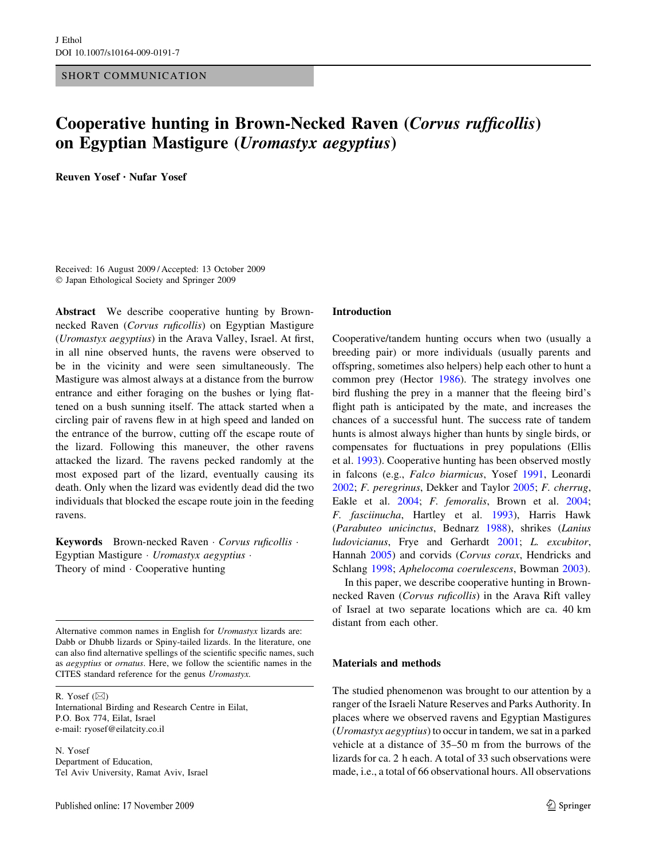# SHORT COMMUNICATION

# Cooperative hunting in Brown-Necked Raven (Corvus rufficollis) on Egyptian Mastigure (Uromastyx aegyptius)

Reuven Yosef *•* Nufar Yosef

Received: 16 August 2009 / Accepted: 13 October 2009 Japan Ethological Society and Springer 2009

Abstract We describe cooperative hunting by Brownnecked Raven (Corvus ruficollis) on Egyptian Mastigure (Uromastyx aegyptius) in the Arava Valley, Israel. At first, in all nine observed hunts, the ravens were observed to be in the vicinity and were seen simultaneously. The Mastigure was almost always at a distance from the burrow entrance and either foraging on the bushes or lying flattened on a bush sunning itself. The attack started when a circling pair of ravens flew in at high speed and landed on the entrance of the burrow, cutting off the escape route of the lizard. Following this maneuver, the other ravens attacked the lizard. The ravens pecked randomly at the most exposed part of the lizard, eventually causing its death. Only when the lizard was evidently dead did the two individuals that blocked the escape route join in the feeding ravens.

Keywords Brown-necked Raven  $\cdot$  Corvus ruficollis $\cdot$ Egyptian Mastigure  $\cdot$  Uromastyx aegyptius  $\cdot$ Theory of mind  $\cdot$  Cooperative hunting

Alternative common names in English for Uromastyx lizards are: Dabb or Dhubb lizards or Spiny-tailed lizards. In the literature, one can also find alternative spellings of the scientific specific names, such as aegyptius or ornatus. Here, we follow the scientific names in the CITES standard reference for the genus Uromastyx.

R. Yosef  $(\boxtimes)$ International Birding and Research Centre in Eilat, P.O. Box 774, Eilat, Israel e-mail: ryosef@eilatcity.co.il

N. Yosef Department of Education, Tel Aviv University, Ramat Aviv, Israel

# Introduction

Cooperative/tandem hunting occurs when two (usually a breeding pair) or more individuals (usually parents and offspring, sometimes also helpers) help each other to hunt a common prey (Hector [1986\)](#page-3-0). The strategy involves one bird flushing the prey in a manner that the fleeing bird's flight path is anticipated by the mate, and increases the chances of a successful hunt. The success rate of tandem hunts is almost always higher than hunts by single birds, or compensates for fluctuations in prey populations (Ellis et al. [1993](#page-3-0)). Cooperative hunting has been observed mostly in falcons (e.g., Falco biarmicus, Yosef [1991,](#page-3-0) Leonardi [2002](#page-3-0); F. peregrinus, Dekker and Taylor [2005](#page-3-0); F. cherrug, Eakle et al. [2004;](#page-3-0) F. femoralis, Brown et al. [2004](#page-3-0); F. fasciinucha, Hartley et al. [1993\)](#page-3-0), Harris Hawk (Parabuteo unicinctus, Bednarz [1988](#page-3-0)), shrikes (Lanius ludovicianus, Frye and Gerhardt [2001](#page-3-0); L. excubitor, Hannah [2005](#page-3-0)) and corvids (Corvus corax, Hendricks and Schlang [1998;](#page-3-0) Aphelocoma coerulescens, Bowman [2003\)](#page-3-0).

In this paper, we describe cooperative hunting in Brownnecked Raven (Corvus ruficollis) in the Arava Rift valley of Israel at two separate locations which are ca. 40 km distant from each other.

# Materials and methods

The studied phenomenon was brought to our attention by a ranger of the Israeli Nature Reserves and Parks Authority. In places where we observed ravens and Egyptian Mastigures (Uromastyx aegyptius) to occur in tandem, we sat in a parked vehicle at a distance of 35–50 m from the burrows of the lizards for ca. 2 h each. A total of 33 such observations were made, i.e., a total of 66 observational hours. All observations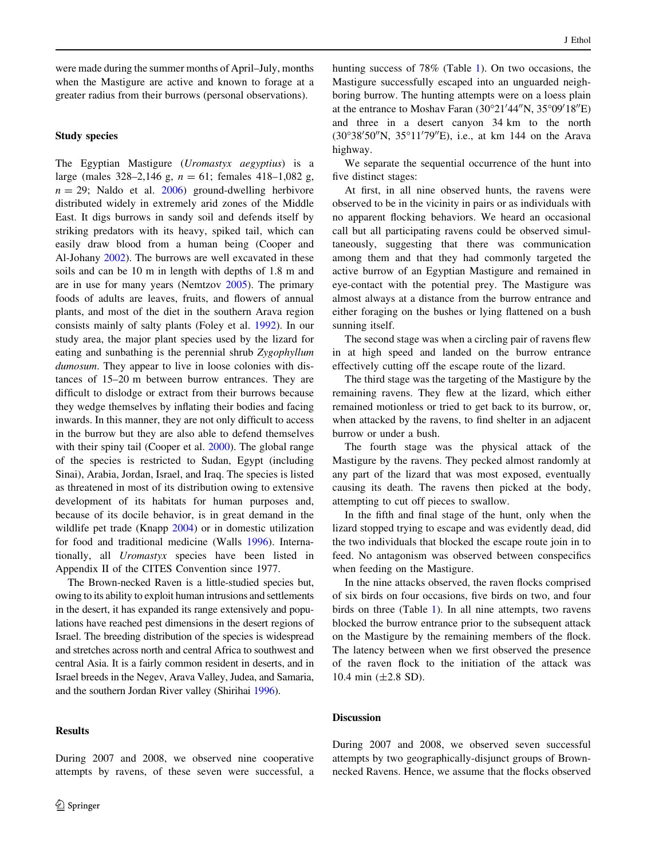were made during the summer months of April–July, months when the Mastigure are active and known to forage at a greater radius from their burrows (personal observations).

#### Study species

The Egyptian Mastigure (Uromastyx aegyptius) is a large (males 328–2,146 g,  $n = 61$ ; females 418–1,082 g,  $n = 29$ ; Naldo et al. [2006\)](#page-3-0) ground-dwelling herbivore distributed widely in extremely arid zones of the Middle East. It digs burrows in sandy soil and defends itself by striking predators with its heavy, spiked tail, which can easily draw blood from a human being (Cooper and Al-Johany [2002\)](#page-3-0). The burrows are well excavated in these soils and can be 10 m in length with depths of 1.8 m and are in use for many years (Nemtzov [2005\)](#page-3-0). The primary foods of adults are leaves, fruits, and flowers of annual plants, and most of the diet in the southern Arava region consists mainly of salty plants (Foley et al. [1992](#page-3-0)). In our study area, the major plant species used by the lizard for eating and sunbathing is the perennial shrub Zygophyllum dumosum. They appear to live in loose colonies with distances of 15–20 m between burrow entrances. They are difficult to dislodge or extract from their burrows because they wedge themselves by inflating their bodies and facing inwards. In this manner, they are not only difficult to access in the burrow but they are also able to defend themselves with their spiny tail (Cooper et al. [2000\)](#page-3-0). The global range of the species is restricted to Sudan, Egypt (including Sinai), Arabia, Jordan, Israel, and Iraq. The species is listed as threatened in most of its distribution owing to extensive development of its habitats for human purposes and, because of its docile behavior, is in great demand in the wildlife pet trade (Knapp [2004\)](#page-3-0) or in domestic utilization for food and traditional medicine (Walls [1996](#page-3-0)). Internationally, all Uromastyx species have been listed in Appendix II of the CITES Convention since 1977.

The Brown-necked Raven is a little-studied species but, owing to its ability to exploit human intrusions and settlements in the desert, it has expanded its range extensively and populations have reached pest dimensions in the desert regions of Israel. The breeding distribution of the species is widespread and stretches across north and central Africa to southwest and central Asia. It is a fairly common resident in deserts, and in Israel breeds in the Negev, Arava Valley, Judea, and Samaria, and the southern Jordan River valley (Shirihai [1996\)](#page-3-0).

During 2007 and 2008, we observed nine cooperative attempts by ravens, of these seven were successful, a

# Results

hunting success of 78% (Table [1\)](#page-2-0). On two occasions, the Mastigure successfully escaped into an unguarded neighboring burrow. The hunting attempts were on a loess plain at the entrance to Moshav Faran (30°21′44″N, 35°09′18″E) and three in a desert canyon 34 km to the north (30°38'50"N, 35°11'79"E), i.e., at km 144 on the Arava highway.

We separate the sequential occurrence of the hunt into five distinct stages:

At first, in all nine observed hunts, the ravens were observed to be in the vicinity in pairs or as individuals with no apparent flocking behaviors. We heard an occasional call but all participating ravens could be observed simultaneously, suggesting that there was communication among them and that they had commonly targeted the active burrow of an Egyptian Mastigure and remained in eye-contact with the potential prey. The Mastigure was almost always at a distance from the burrow entrance and either foraging on the bushes or lying flattened on a bush sunning itself.

The second stage was when a circling pair of ravens flew in at high speed and landed on the burrow entrance effectively cutting off the escape route of the lizard.

The third stage was the targeting of the Mastigure by the remaining ravens. They flew at the lizard, which either remained motionless or tried to get back to its burrow, or, when attacked by the ravens, to find shelter in an adjacent burrow or under a bush.

The fourth stage was the physical attack of the Mastigure by the ravens. They pecked almost randomly at any part of the lizard that was most exposed, eventually causing its death. The ravens then picked at the body, attempting to cut off pieces to swallow.

In the fifth and final stage of the hunt, only when the lizard stopped trying to escape and was evidently dead, did the two individuals that blocked the escape route join in to feed. No antagonism was observed between conspecifics when feeding on the Mastigure.

In the nine attacks observed, the raven flocks comprised of six birds on four occasions, five birds on two, and four birds on three (Table [1](#page-2-0)). In all nine attempts, two ravens blocked the burrow entrance prior to the subsequent attack on the Mastigure by the remaining members of the flock. The latency between when we first observed the presence of the raven flock to the initiation of the attack was 10.4 min  $(\pm 2.8 \text{ SD})$ .

#### Discussion

During 2007 and 2008, we observed seven successful attempts by two geographically-disjunct groups of Brownnecked Ravens. Hence, we assume that the flocks observed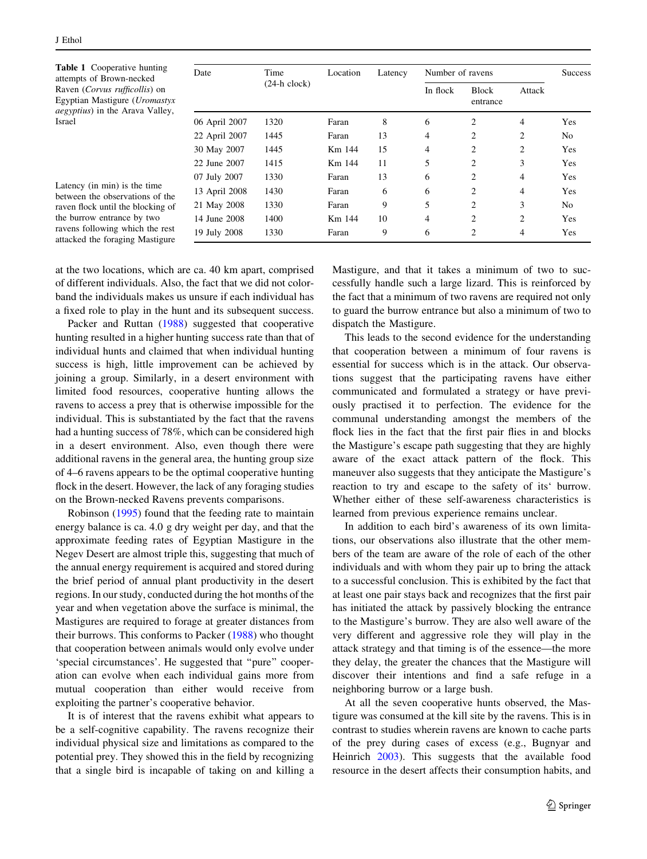<span id="page-2-0"></span>Table 1 Cooperative hunting attempts of Brown-necked Raven (Corvus rufficollis) on Egyptian Mastigure (Uromastyx aegyptius) in the Arava Valley, Israel

Latency (in min) is the time between the observations of the raven flock until the blocking of the burrow entrance by two ravens following which the rest attacked the foraging Mastigure

| Date          | Time<br>$(24-h \text{ clock})$ | Location | Latency | Number of ravens |                          |                | <b>Success</b> |
|---------------|--------------------------------|----------|---------|------------------|--------------------------|----------------|----------------|
|               |                                |          |         | In flock         | <b>Block</b><br>entrance | Attack         |                |
| 06 April 2007 | 1320                           | Faran    | 8       | 6                | $\overline{c}$           | $\overline{4}$ | Yes            |
| 22 April 2007 | 1445                           | Faran    | 13      | $\overline{4}$   | $\overline{2}$           | 2              | N <sub>0</sub> |
| 30 May 2007   | 1445                           | Km 144   | 15      | $\overline{4}$   | $\overline{c}$           | 2              | Yes            |
| 22 June 2007  | 1415                           | Km 144   | 11      | 5                | 2                        | 3              | Yes            |
| 07 July 2007  | 1330                           | Faran    | 13      | 6                | $\overline{c}$           | $\overline{4}$ | Yes            |
| 13 April 2008 | 1430                           | Faran    | 6       | 6                | $\overline{2}$           | $\overline{4}$ | Yes            |
| 21 May 2008   | 1330                           | Faran    | 9       | 5                | $\overline{c}$           | 3              | N <sub>0</sub> |
| 14 June 2008  | 1400                           | Km 144   | 10      | $\overline{4}$   | $\overline{c}$           | 2              | Yes            |
| 19 July 2008  | 1330                           | Faran    | 9       | 6                | $\overline{c}$           | 4              | Yes            |

at the two locations, which are ca. 40 km apart, comprised of different individuals. Also, the fact that we did not colorband the individuals makes us unsure if each individual has a fixed role to play in the hunt and its subsequent success.

Packer and Ruttan [\(1988](#page-3-0)) suggested that cooperative hunting resulted in a higher hunting success rate than that of individual hunts and claimed that when individual hunting success is high, little improvement can be achieved by joining a group. Similarly, in a desert environment with limited food resources, cooperative hunting allows the ravens to access a prey that is otherwise impossible for the individual. This is substantiated by the fact that the ravens had a hunting success of 78%, which can be considered high in a desert environment. Also, even though there were additional ravens in the general area, the hunting group size of 4–6 ravens appears to be the optimal cooperative hunting flock in the desert. However, the lack of any foraging studies on the Brown-necked Ravens prevents comparisons.

Robinson ([1995\)](#page-3-0) found that the feeding rate to maintain energy balance is ca. 4.0 g dry weight per day, and that the approximate feeding rates of Egyptian Mastigure in the Negev Desert are almost triple this, suggesting that much of the annual energy requirement is acquired and stored during the brief period of annual plant productivity in the desert regions. In our study, conducted during the hot months of the year and when vegetation above the surface is minimal, the Mastigures are required to forage at greater distances from their burrows. This conforms to Packer [\(1988](#page-3-0)) who thought that cooperation between animals would only evolve under 'special circumstances'. He suggested that ''pure'' cooperation can evolve when each individual gains more from mutual cooperation than either would receive from exploiting the partner's cooperative behavior.

It is of interest that the ravens exhibit what appears to be a self-cognitive capability. The ravens recognize their individual physical size and limitations as compared to the potential prey. They showed this in the field by recognizing that a single bird is incapable of taking on and killing a Mastigure, and that it takes a minimum of two to successfully handle such a large lizard. This is reinforced by the fact that a minimum of two ravens are required not only to guard the burrow entrance but also a minimum of two to dispatch the Mastigure.

This leads to the second evidence for the understanding that cooperation between a minimum of four ravens is essential for success which is in the attack. Our observations suggest that the participating ravens have either communicated and formulated a strategy or have previously practised it to perfection. The evidence for the communal understanding amongst the members of the flock lies in the fact that the first pair flies in and blocks the Mastigure's escape path suggesting that they are highly aware of the exact attack pattern of the flock. This maneuver also suggests that they anticipate the Mastigure's reaction to try and escape to the safety of its' burrow. Whether either of these self-awareness characteristics is learned from previous experience remains unclear.

In addition to each bird's awareness of its own limitations, our observations also illustrate that the other members of the team are aware of the role of each of the other individuals and with whom they pair up to bring the attack to a successful conclusion. This is exhibited by the fact that at least one pair stays back and recognizes that the first pair has initiated the attack by passively blocking the entrance to the Mastigure's burrow. They are also well aware of the very different and aggressive role they will play in the attack strategy and that timing is of the essence—the more they delay, the greater the chances that the Mastigure will discover their intentions and find a safe refuge in a neighboring burrow or a large bush.

At all the seven cooperative hunts observed, the Mastigure was consumed at the kill site by the ravens. This is in contrast to studies wherein ravens are known to cache parts of the prey during cases of excess (e.g., Bugnyar and Heinrich [2003](#page-3-0)). This suggests that the available food resource in the desert affects their consumption habits, and